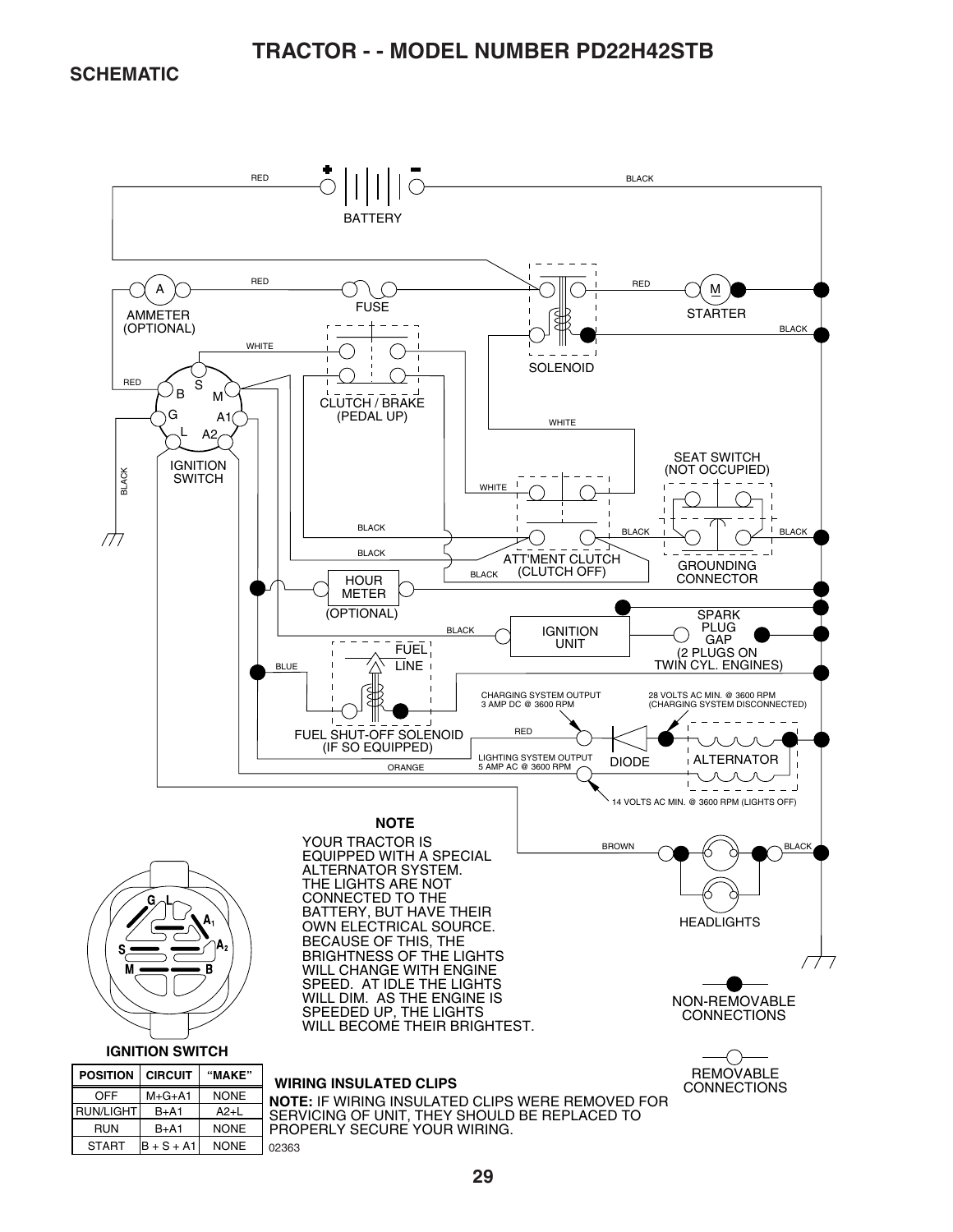**SCHEMATIC** 

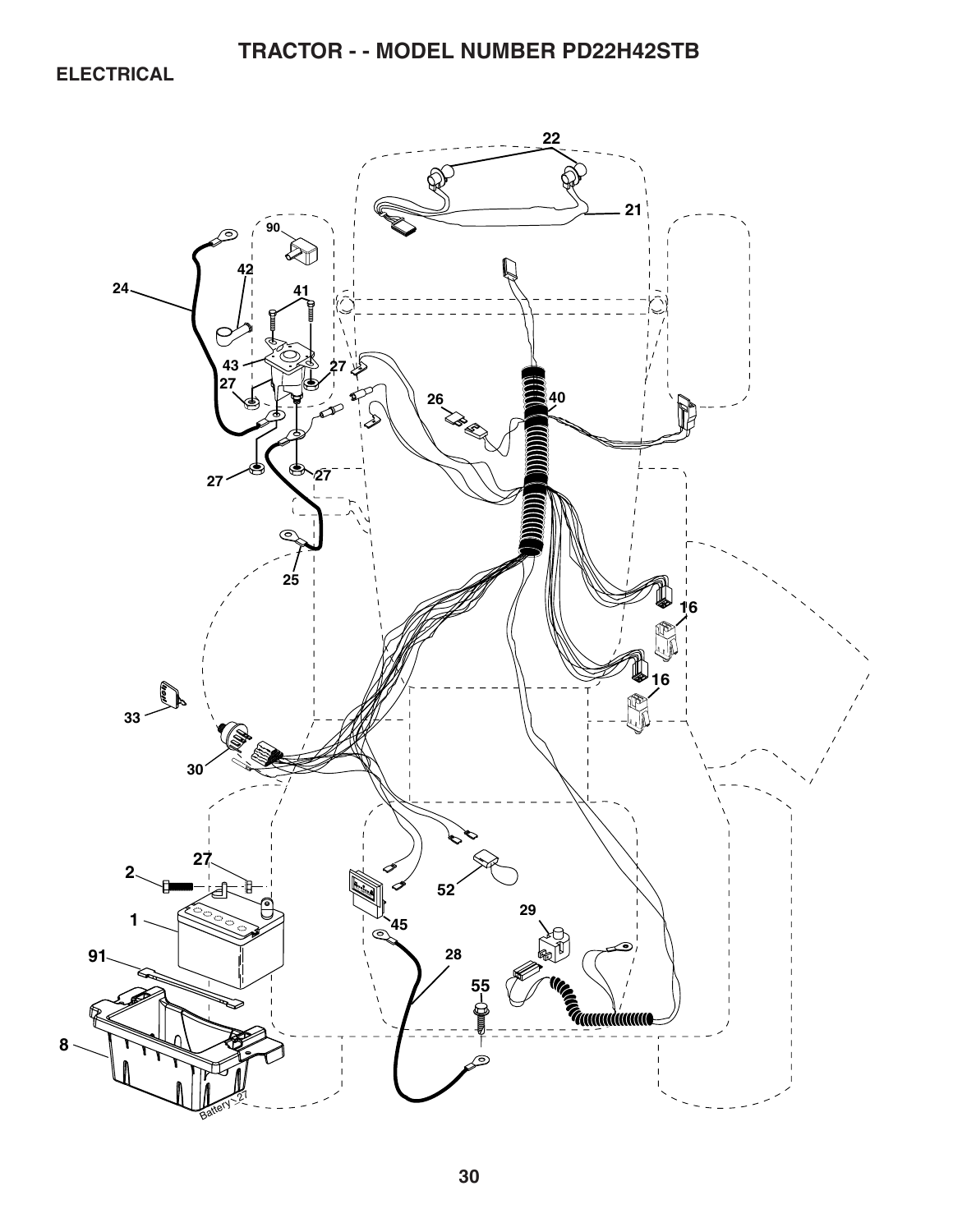**ELECTRICAL** 

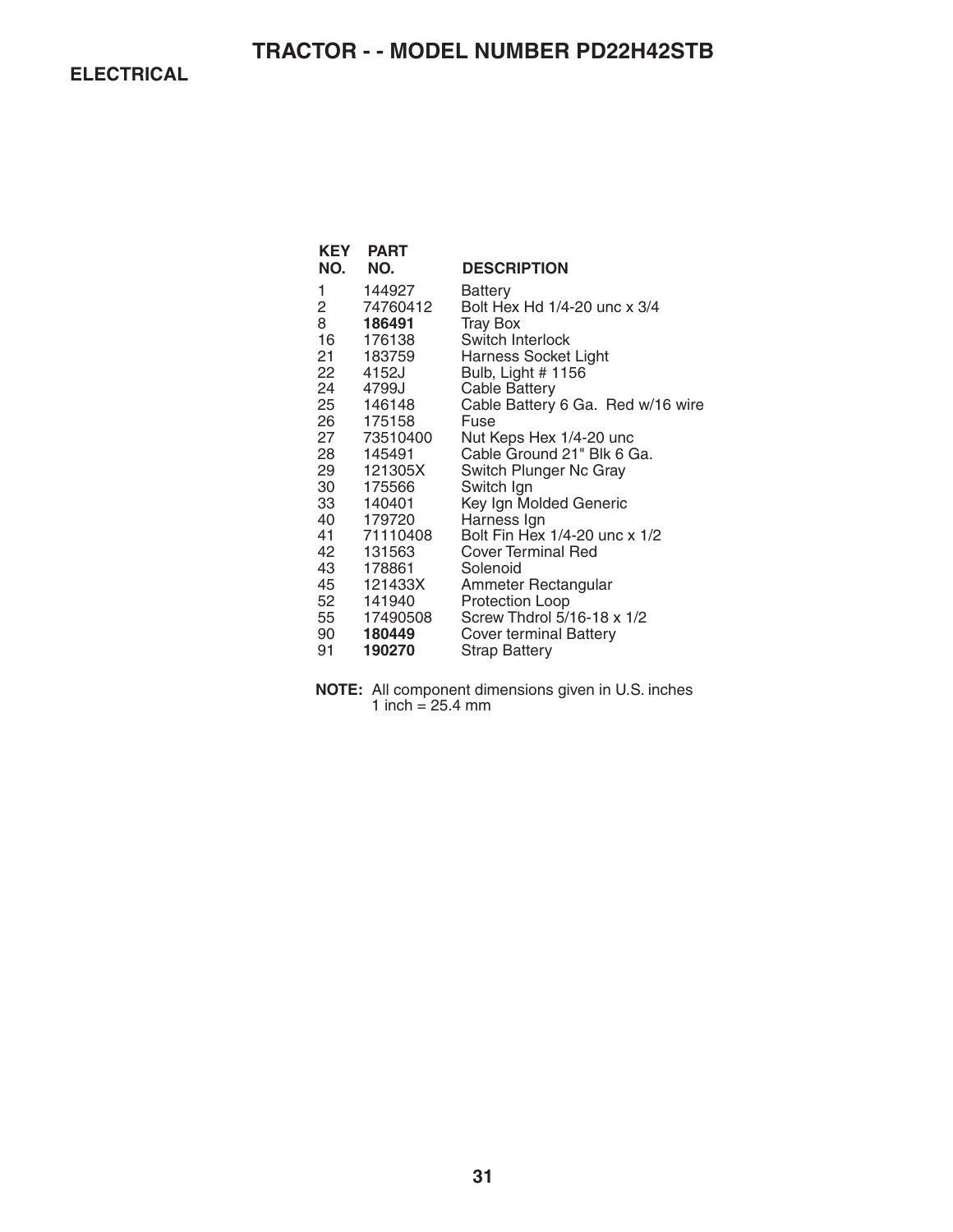**ELECTRICAL** 

| KEY  | <b>PART</b> |                                   |
|------|-------------|-----------------------------------|
| NO.  | NO.         | <b>DESCRIPTION</b>                |
| 1    | 144927      | Battery                           |
| 2    | 74760412    | Bolt Hex Hd 1/4-20 unc x 3/4      |
| 8    | 186491      | <b>Tray Box</b>                   |
| 16 — | 176138      | Switch Interlock                  |
|      | 21 183759   | Harness Socket Light              |
| 22   | 4152J       | Bulb, Light # 1156                |
| 24   | 4799J       | <b>Cable Battery</b>              |
|      | 25 146148   | Cable Battery 6 Ga. Red w/16 wire |
|      | 26 175158   | Fuse                              |
|      | 27 73510400 | Nut Keps Hex 1/4-20 unc           |
| 28   | 145491      | Cable Ground 21" Blk 6 Ga.        |
| 29 — | 121305X     | Switch Plunger Nc Gray            |
| 30   | 175566      | Switch Ign                        |
| 33   | 140401      | Key Ign Molded Generic            |
|      | 40 179720   | Harness Ign                       |
|      | 41 71110408 | Bolt Fin Hex 1/4-20 unc x 1/2     |
| 42   | 131563      | <b>Cover Terminal Red</b>         |
|      | 43 178861   | Solenoid                          |
|      | 45 121433X  | Ammeter Rectangular               |
| 52   | 141940      | Protection Loop                   |
|      | 55 17490508 | Screw Thdrol 5/16-18 x 1/2        |
| 90 — | 180449      | <b>Cover terminal Battery</b>     |
| 91   | 190270      | <b>Strap Battery</b>              |

**NOTE:** All component dimensions given in U.S. inches 1 inch = 25.4 mm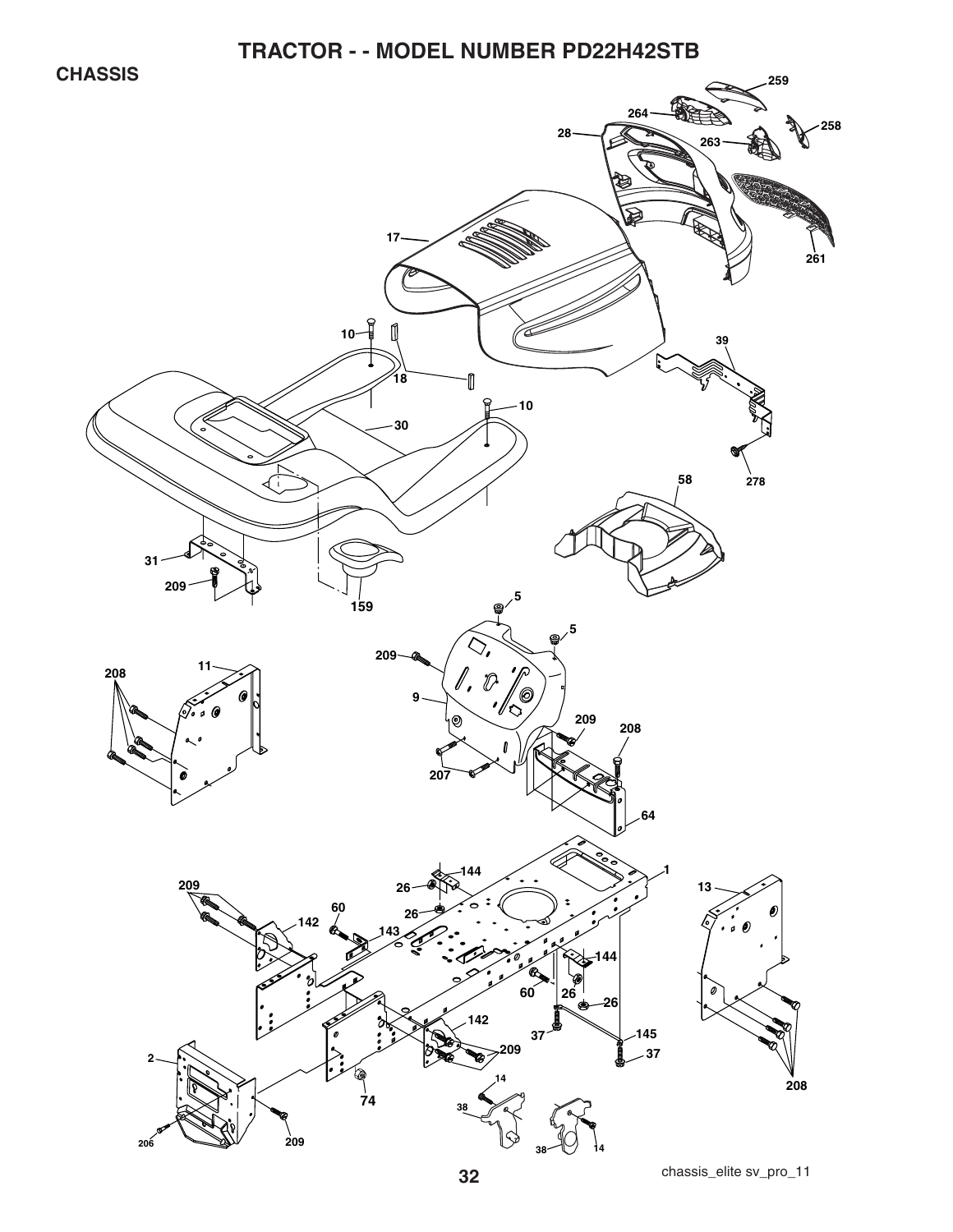**CHASSIS** 

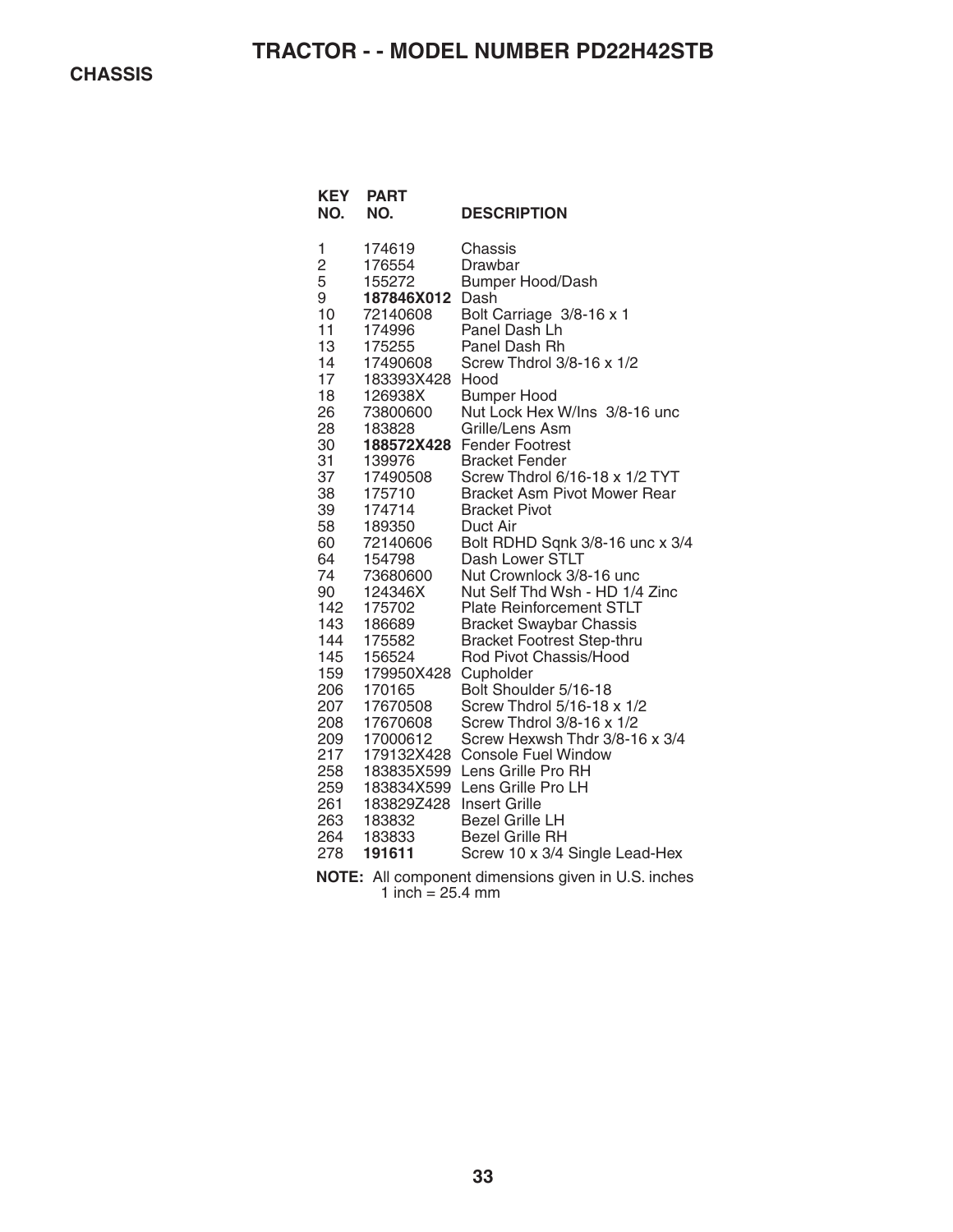| <b>KEY</b><br>NO. | <b>PART</b><br>NO.         | <b>DESCRIPTION</b>                                                                                                                                                   |
|-------------------|----------------------------|----------------------------------------------------------------------------------------------------------------------------------------------------------------------|
| 1                 | 174619                     | Chassis                                                                                                                                                              |
| $\overline{c}$    | 176554                     | Drawbar                                                                                                                                                              |
| 5                 | 155272                     | <b>Bumper Hood/Dash</b>                                                                                                                                              |
| 9                 | 187846X012                 | Dash                                                                                                                                                                 |
| 10                | 72140608                   | Bolt Carriage 3/8-16 x 1                                                                                                                                             |
| 11                | 174996                     | Panel Dash Lh                                                                                                                                                        |
| 13                | 175255                     | Panel Dash Rh                                                                                                                                                        |
| 14                | 17490608                   | Screw Thdrol 3/8-16 x 1/2                                                                                                                                            |
| 17                | 183393X428                 | Hood                                                                                                                                                                 |
| 18                | 126938X                    | <b>Bumper Hood</b>                                                                                                                                                   |
| 26                | 73800600                   | Nut Lock Hex W/Ins 3/8-16 unc                                                                                                                                        |
| 28                | 183828                     | Grille/Lens Asm                                                                                                                                                      |
| 30                | 188572X428                 | <b>Fender Footrest</b>                                                                                                                                               |
| 31                | 139976                     | <b>Bracket Fender</b>                                                                                                                                                |
| 37                | 17490508                   | Screw Thdrol 6/16-18 x 1/2 TYT                                                                                                                                       |
| 38                | 175710                     | <b>Bracket Asm Pivot Mower Rear</b>                                                                                                                                  |
| 39                | 174714                     | <b>Bracket Pivot</b>                                                                                                                                                 |
| 58                | 189350                     | Duct Air                                                                                                                                                             |
| 60                | 72140606                   | Bolt RDHD Sqnk 3/8-16 unc x 3/4                                                                                                                                      |
| 64                | 154798                     | Dash Lower STLT                                                                                                                                                      |
| 74                | 73680600                   | Nut Crownlock 3/8-16 unc                                                                                                                                             |
| 90                | 124346X                    | Nut Self Thd Wsh - HD 1/4 Zinc                                                                                                                                       |
| 142               | 175702                     | <b>Plate Reinforcement STLT</b>                                                                                                                                      |
| 143               | 186689                     | <b>Bracket Swaybar Chassis</b>                                                                                                                                       |
| 144               | 175582                     | <b>Bracket Footrest Step-thru</b>                                                                                                                                    |
| 145               | 156524                     | Rod Pivot Chassis/Hood                                                                                                                                               |
| 159               | 179950X428                 | Cupholder                                                                                                                                                            |
| 206               | 170165                     | Bolt Shoulder 5/16-18                                                                                                                                                |
| 207               | 17670508                   | Screw Thdrol 5/16-18 x 1/2                                                                                                                                           |
| 208               | 17670608                   | Screw Thdrol 3/8-16 x 1/2                                                                                                                                            |
| 209               | 17000612                   | Screw Hexwsh Thdr 3/8-16 x 3/4                                                                                                                                       |
| 217               | 179132X428                 | <b>Console Fuel Window</b>                                                                                                                                           |
| 258               | 183835X599                 | Lens Grille Pro RH                                                                                                                                                   |
| 259               | 183834X599                 | Lens Grille Pro LH                                                                                                                                                   |
| 261               | 183829Z428                 | <b>Insert Grille</b>                                                                                                                                                 |
| 263<br>264<br>278 | 183832<br>183833<br>191611 | <b>Bezel Grille LH</b><br><b>Bezel Grille RH</b><br>Screw 10 x 3/4 Single Lead-Hex<br><b>Contract Contract Contract</b><br>$\sim$ $\sim$ $\sim$ $\sim$ $\sim$ $\sim$ |

**NOTE:** All component dimensions given in U.S. inches 1 inch  $= 25.4$  mm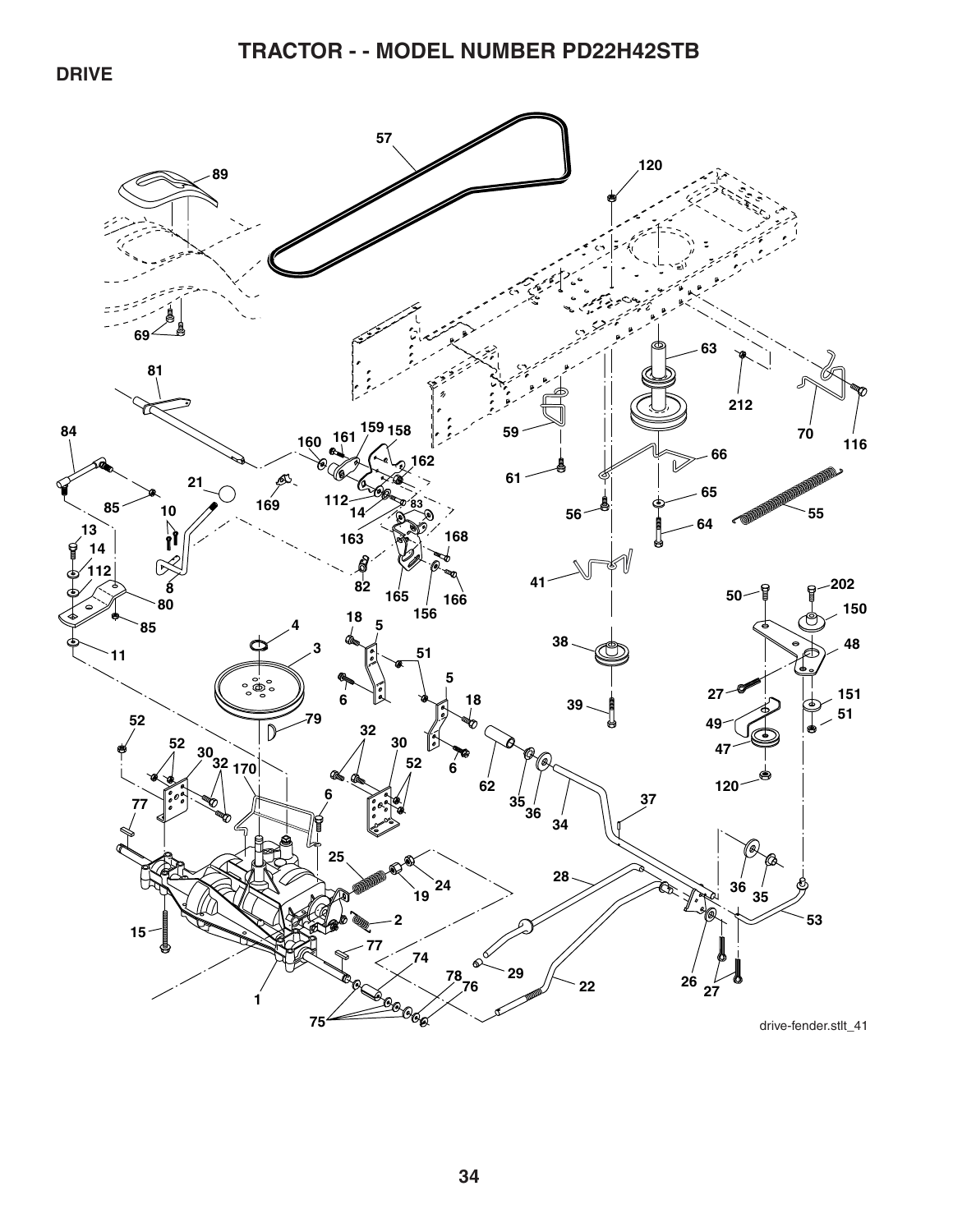**DRIVE** 

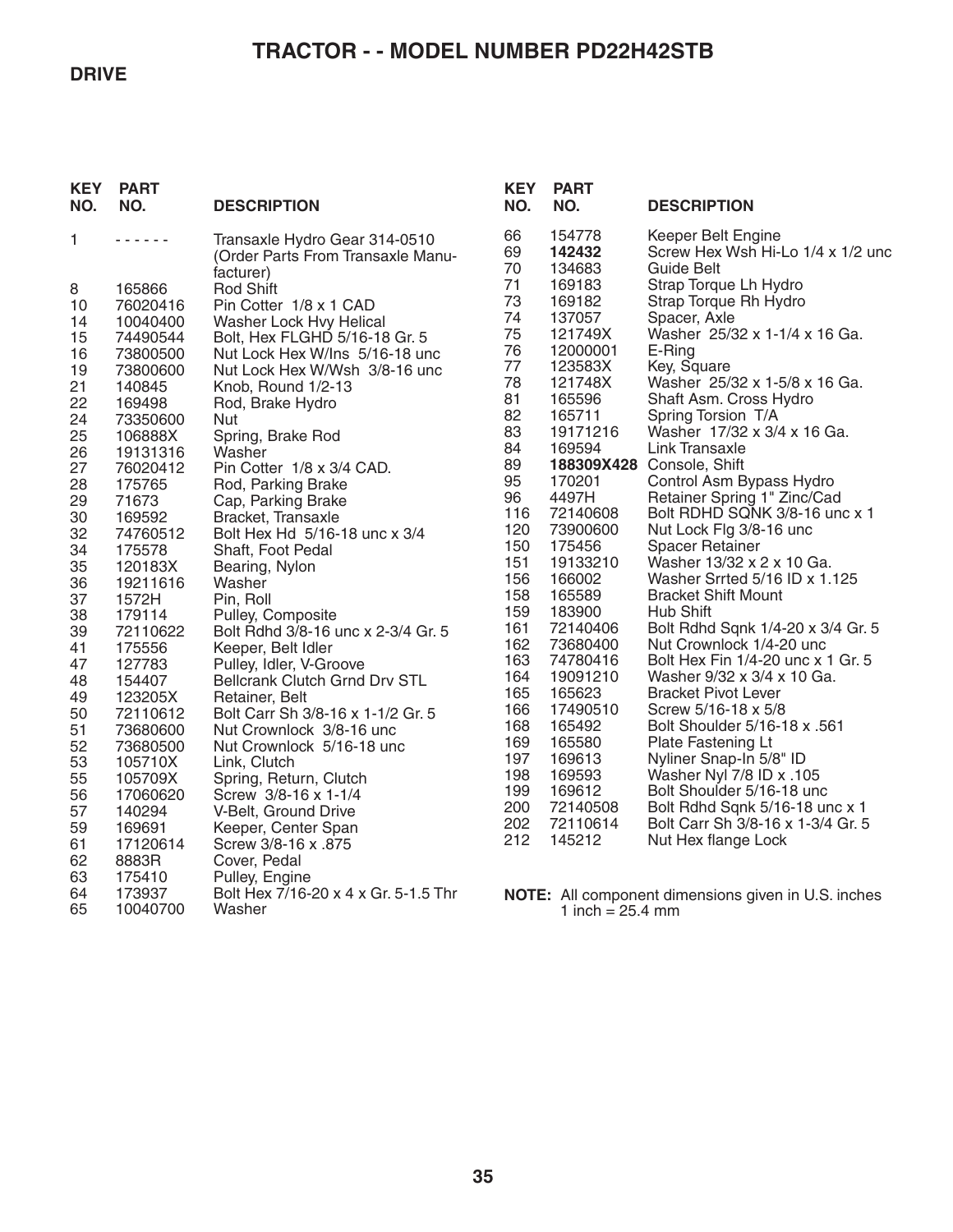#### **DRIVE**

# **TRACTOR - - MODEL NUMBER PD22H42STB**

| <b>KEY</b><br>NO. | <b>PART</b><br>NO.  | <b>DESCRIPTION</b>                                                 | <b>KEY</b><br>NO. | <b>PART</b><br>NO.         | <b>DESCRIPTION</b>                                                           |
|-------------------|---------------------|--------------------------------------------------------------------|-------------------|----------------------------|------------------------------------------------------------------------------|
| 1                 | .                   | Transaxle Hydro Gear 314-0510<br>(Order Parts From Transaxle Manu- | 66<br>69<br>70    | 154778<br>142432<br>134683 | Keeper Belt Engine<br>Screw Hex Wsh Hi-Lo 1/4 x 1/2 und<br><b>Guide Belt</b> |
| 8                 | 165866              | facturer)<br><b>Rod Shift</b>                                      | 71                | 169183                     | Strap Torque Lh Hydro                                                        |
| 10                | 76020416            | Pin Cotter 1/8 x 1 CAD                                             | 73                | 169182                     | Strap Torque Rh Hydro                                                        |
| 14                | 10040400            | Washer Lock Hvy Helical                                            | 74                | 137057                     | Spacer, Axle                                                                 |
| 15                | 74490544            | Bolt, Hex FLGHD 5/16-18 Gr. 5                                      | 75                | 121749X                    | Washer 25/32 x 1-1/4 x 16 Ga.                                                |
| 16                | 73800500            | Nut Lock Hex W/Ins 5/16-18 unc                                     | 76                | 12000001                   | E-Ring                                                                       |
| 19                | 73800600            | Nut Lock Hex W/Wsh 3/8-16 unc                                      | 77<br>78          | 123583X<br>121748X         | Key, Square<br>Washer 25/32 x 1-5/8 x 16 Ga.                                 |
| 21<br>22          | 140845              | Knob, Round 1/2-13                                                 | 81                | 165596                     | Shaft Asm. Cross Hydro                                                       |
| 24                | 169498<br>73350600  | Rod, Brake Hydro<br>Nut                                            | 82                | 165711                     | Spring Torsion T/A                                                           |
| 25                | 106888X             | Spring, Brake Rod                                                  | 83                | 19171216                   | Washer 17/32 x 3/4 x 16 Ga.                                                  |
| 26                | 19131316            | Washer                                                             | 84                | 169594                     | Link Transaxle                                                               |
| 27                | 76020412            | Pin Cotter 1/8 x 3/4 CAD.                                          | 89                |                            | 188309X428 Console, Shift                                                    |
| 28                | 175765              | Rod, Parking Brake                                                 | 95                | 170201                     | Control Asm Bypass Hydro                                                     |
| 29                | 71673               | Cap, Parking Brake                                                 | 96                | 4497H                      | Retainer Spring 1" Zinc/Cad                                                  |
| 30                | 169592              | Bracket, Transaxle                                                 | 116<br>120        | 72140608<br>73900600       | Bolt RDHD SQNK 3/8-16 unc x 1<br>Nut Lock Flg 3/8-16 unc                     |
| 32                | 74760512            | Bolt Hex Hd 5/16-18 unc x 3/4                                      | 150               | 175456                     | <b>Spacer Retainer</b>                                                       |
| 34<br>35          | 175578<br>120183X   | Shaft, Foot Pedal<br>Bearing, Nylon                                | 151               | 19133210                   | Washer 13/32 x 2 x 10 Ga.                                                    |
| 36                | 19211616            | Washer                                                             | 156               | 166002                     | Washer Srrted 5/16 ID x 1.125                                                |
| 37                | 1572H               | Pin, Roll                                                          | 158               | 165589                     | <b>Bracket Shift Mount</b>                                                   |
| 38                | 179114              | Pulley, Composite                                                  | 159               | 183900                     | <b>Hub Shift</b>                                                             |
| 39                | 72110622            | Bolt Rdhd 3/8-16 unc x 2-3/4 Gr. 5                                 | 161               | 72140406                   | Bolt Rdhd Sqnk 1/4-20 x 3/4 Gr. 5                                            |
| 41                | 175556              | Keeper, Belt Idler                                                 | 162               | 73680400                   | Nut Crownlock 1/4-20 unc                                                     |
| 47                | 127783              | Pulley, Idler, V-Groove                                            | 163<br>164        | 74780416<br>19091210       | Bolt Hex Fin 1/4-20 unc x 1 Gr. 5<br>Washer 9/32 x 3/4 x 10 Ga.              |
| 48                | 154407              | <b>Bellcrank Clutch Grnd Drv STL</b>                               | 165               | 165623                     | <b>Bracket Pivot Lever</b>                                                   |
| 49<br>50          | 123205X<br>72110612 | Retainer, Belt<br>Bolt Carr Sh 3/8-16 x 1-1/2 Gr. 5                | 166               | 17490510                   | Screw 5/16-18 x 5/8                                                          |
| 51                | 73680600            | Nut Crownlock 3/8-16 unc                                           | 168               | 165492                     | Bolt Shoulder 5/16-18 x .561                                                 |
| 52                | 73680500            | Nut Crownlock 5/16-18 unc                                          | 169               | 165580                     | Plate Fastening Lt                                                           |
| 53                | 105710X             | Link, Clutch                                                       | 197               | 169613                     | Nyliner Snap-In 5/8" ID                                                      |
| 55                | 105709X             | Spring, Return, Clutch                                             | 198               | 169593                     | Washer Nyl 7/8 ID x .105                                                     |
| 56                | 17060620            | Screw 3/8-16 x 1-1/4                                               | 199               | 169612                     | Bolt Shoulder 5/16-18 unc                                                    |
| 57                | 140294              | V-Belt, Ground Drive                                               | 200<br>202        | 72140508<br>72110614       | Bolt Rdhd Sqnk 5/16-18 unc x 1<br>Bolt Carr Sh 3/8-16 x 1-3/4 Gr. 5          |
| 59                | 169691              | Keeper, Center Span                                                | 212               | 145212                     | Nut Hex flange Lock                                                          |
| 61<br>62          | 17120614<br>8883R   | Screw 3/8-16 x .875<br>Cover, Pedal                                |                   |                            |                                                                              |
| 63                | 175410              | Pulley, Engine                                                     |                   |                            |                                                                              |
| 64                | 173937              | Bolt Hex 7/16-20 x 4 x Gr. 5-1.5 Thr                               |                   |                            | <b>NOTE:</b> All component dimensions given in U.S. inches                   |
| 65                | 10040700            | Washer                                                             |                   | 1 inch = $25.4$ mm         |                                                                              |
|                   |                     |                                                                    |                   |                            |                                                                              |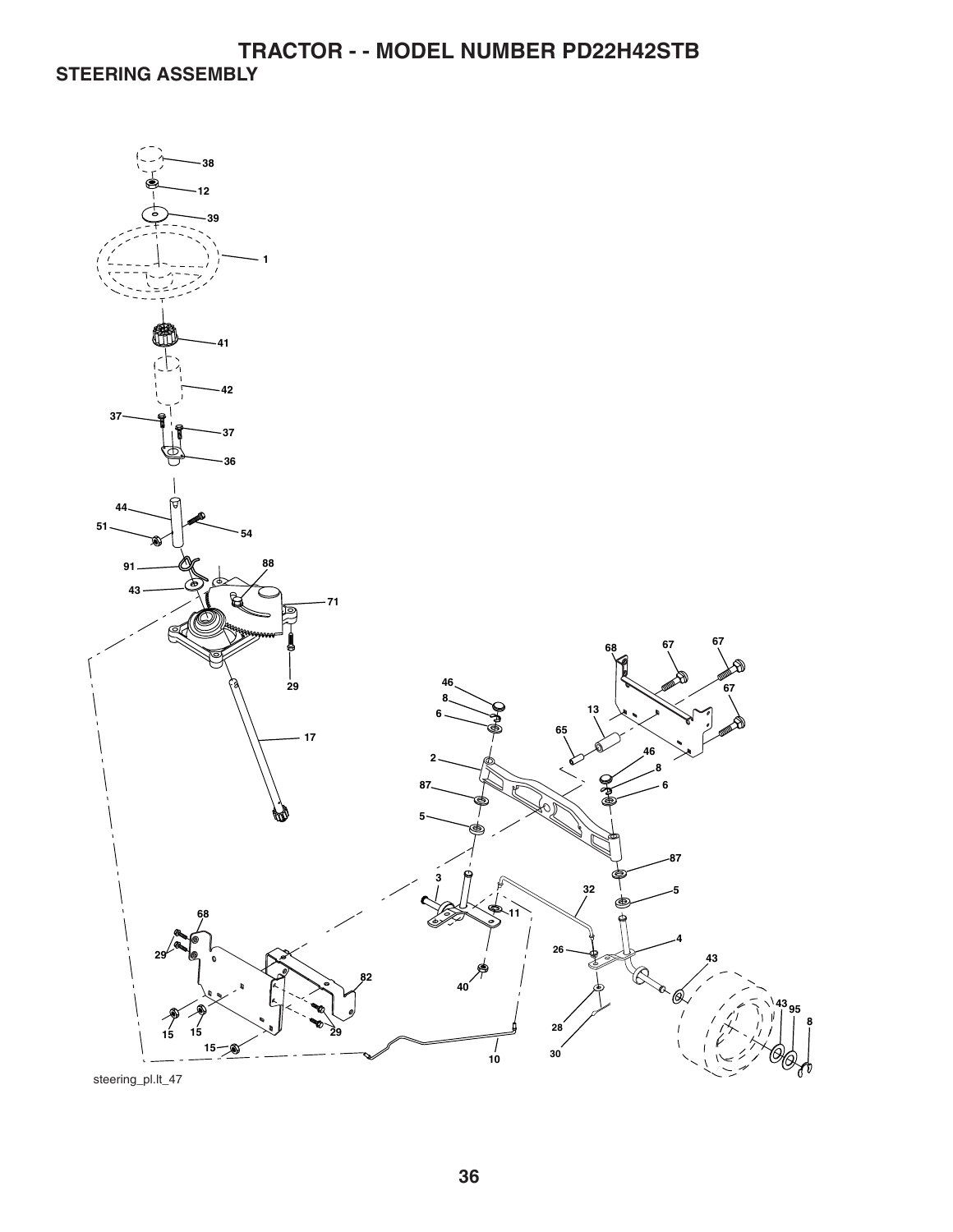**TRACTOR - - MODEL NUMBER PD22H42STB STEERING ASSEMBLY** 

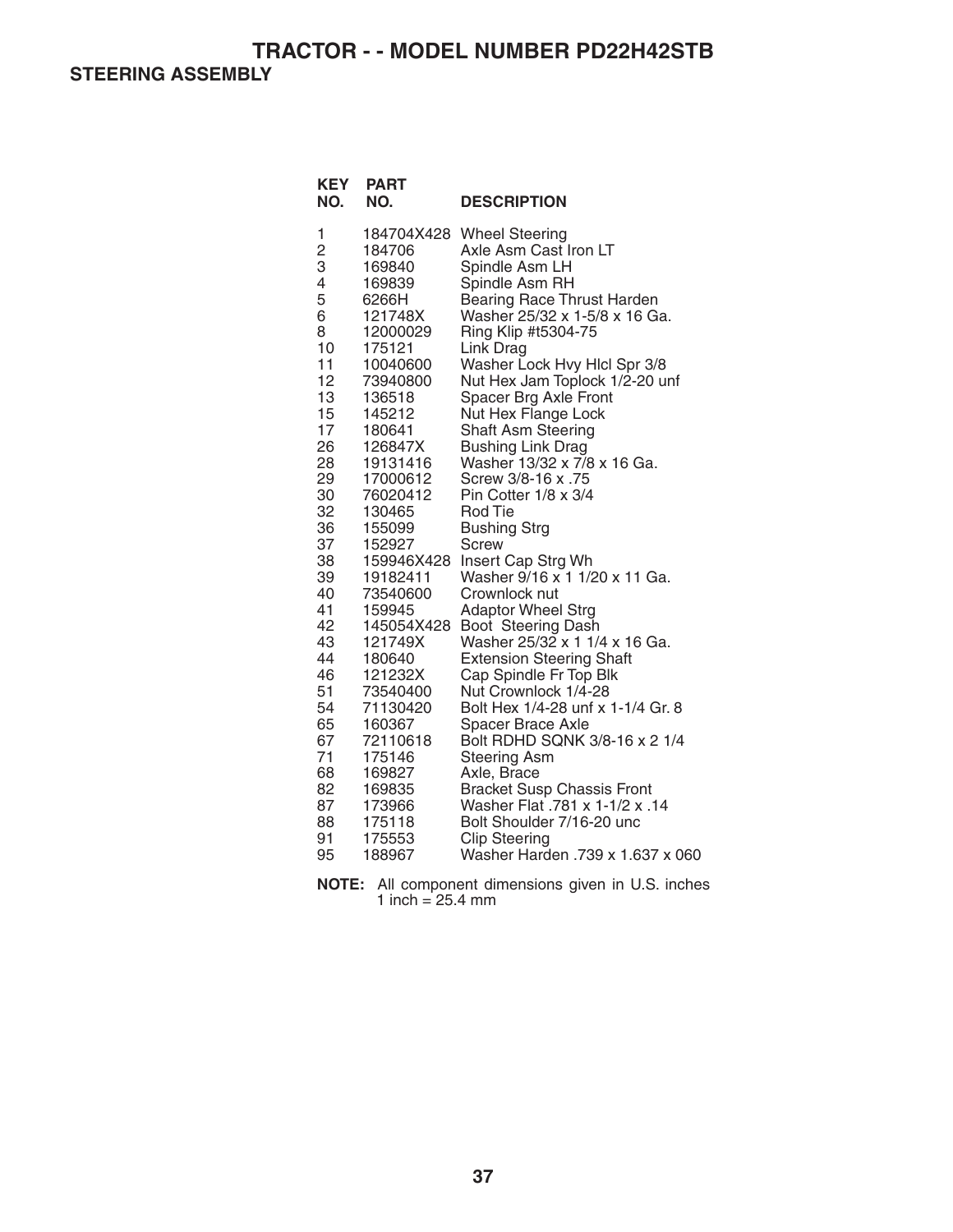**STEERING ASSEMBLY** 

| <b>KEY</b><br>NO.                                                                                                                                                                                                                      | <b>PART</b><br>NO.                                                                                                                                                                                                                                                                                                                                                                                                                      | <b>DESCRIPTION</b>                                                                                                                                                                                                                                                                                                                                                                                                                                                                                                                                                                                                                                                                                                                                                                                                                                                                                                                                                                                                                                              |
|----------------------------------------------------------------------------------------------------------------------------------------------------------------------------------------------------------------------------------------|-----------------------------------------------------------------------------------------------------------------------------------------------------------------------------------------------------------------------------------------------------------------------------------------------------------------------------------------------------------------------------------------------------------------------------------------|-----------------------------------------------------------------------------------------------------------------------------------------------------------------------------------------------------------------------------------------------------------------------------------------------------------------------------------------------------------------------------------------------------------------------------------------------------------------------------------------------------------------------------------------------------------------------------------------------------------------------------------------------------------------------------------------------------------------------------------------------------------------------------------------------------------------------------------------------------------------------------------------------------------------------------------------------------------------------------------------------------------------------------------------------------------------|
| 1<br>$\frac{2}{3}$<br>4<br>5<br>6<br>8<br>10<br>11<br>12<br>13<br>15<br>17<br>26<br>28<br>29<br>30<br>32<br>36<br>37<br>38<br>39<br>40<br>41<br>42<br>43<br>44<br>46<br>51<br>54<br>65<br>67<br>71<br>68<br>82<br>87<br>88<br>91<br>95 | 184704X428<br>184706<br>169840<br>169839<br>6266H<br>121748X<br>12000029<br>175121<br>10040600<br>73940800<br>136518<br>145212<br>180641<br>126847X<br>19131416<br>17000612<br>76020412<br>130465<br>155099<br>152927<br>159946X428<br>19182411<br>73540600<br>159945<br>145054X428<br>121749X<br>180640<br>121232X<br>73540400<br>71130420<br>160367<br>72110618<br>175146<br>169827<br>169835<br>173966<br>175118<br>175553<br>188967 | <b>Wheel Steering</b><br>Axle Asm Cast Iron LT<br>Spindle Asm LH<br>Spindle Asm RH<br><b>Bearing Race Thrust Harden</b><br>Washer 25/32 x 1-5/8 x 16 Ga.<br>Ring Klip #t5304-75<br>Link Drag<br>Washer Lock Hvy Hlcl Spr 3/8<br>Nut Hex Jam Toplock 1/2-20 unf<br>Spacer Brg Axle Front<br>Nut Hex Flange Lock<br><b>Shaft Asm Steering</b><br><b>Bushing Link Drag</b><br>Washer 13/32 x 7/8 x 16 Ga.<br>Screw 3/8-16 x .75<br>Pin Cotter 1/8 x 3/4<br><b>Rod Tie</b><br><b>Bushing Strg</b><br>Screw<br>Insert Cap Strg Wh<br>Washer 9/16 x 1 1/20 x 11 Ga.<br>Crownlock nut<br><b>Adaptor Wheel Strg</b><br>Boot Steering Dash<br>Washer 25/32 x 1 1/4 x 16 Ga.<br><b>Extension Steering Shaft</b><br>Cap Spindle Fr Top Blk<br>Nut Crownlock 1/4-28<br>Bolt Hex 1/4-28 unf x 1-1/4 Gr. 8<br><b>Spacer Brace Axle</b><br>Bolt RDHD SQNK 3/8-16 x 2 1/4<br><b>Steering Asm</b><br>Axle, Brace<br><b>Bracket Susp Chassis Front</b><br>14. Washer Flat .781 x 1-1/2 x<br>Bolt Shoulder 7/16-20 unc<br><b>Clip Steering</b><br>Washer Harden .739 x 1.637 x 060 |

**NOTE:** All component dimensions given in U.S. inches 1 inch  $= 25.4$  mm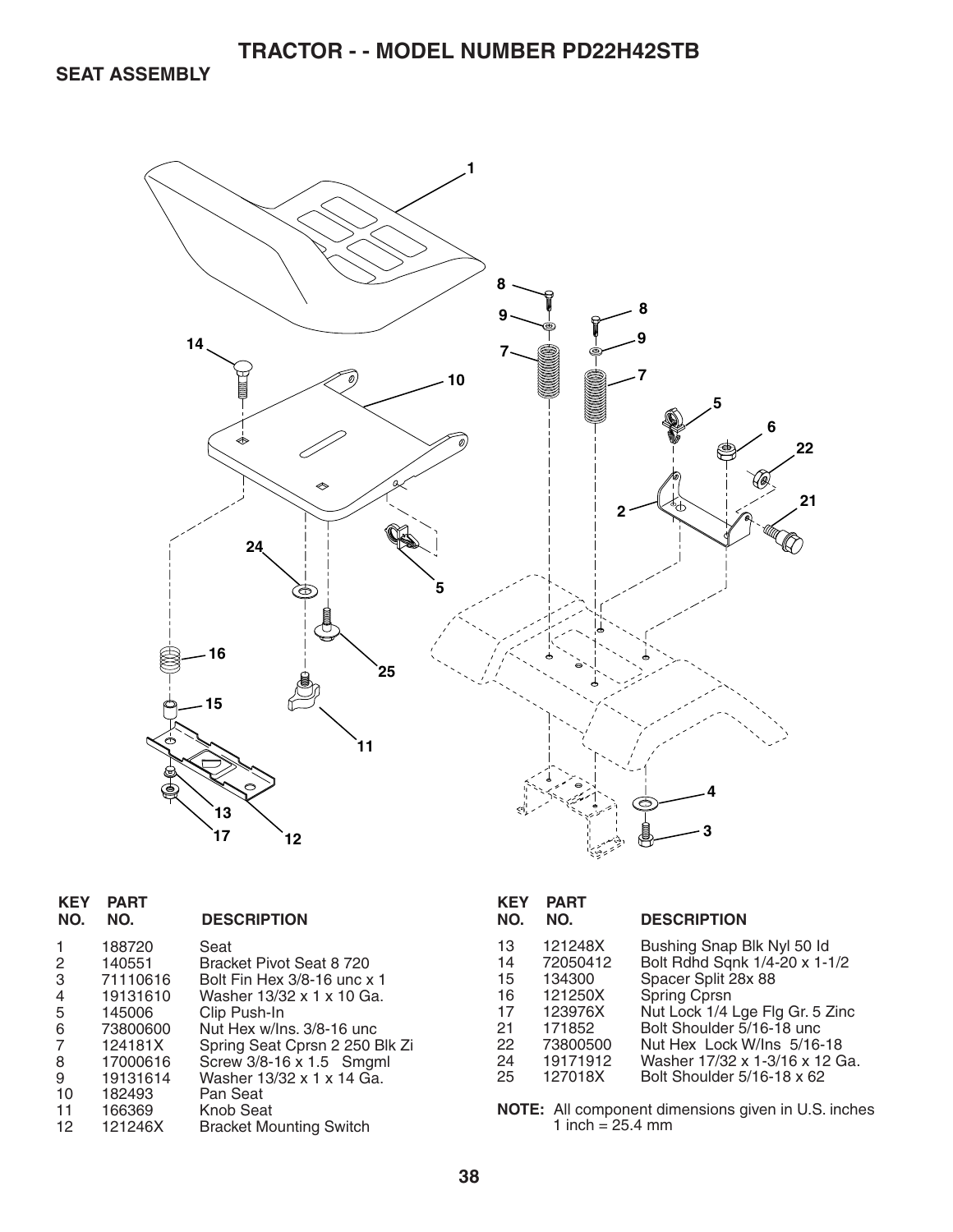**SEAT ASSEMBLY** 



| <b>KEY</b><br>NO.                                           | <b>PART</b><br>NO.                                                                                                               | <b>DESCRIPTION</b>                                                                                                                                                                                                                                                                              |
|-------------------------------------------------------------|----------------------------------------------------------------------------------------------------------------------------------|-------------------------------------------------------------------------------------------------------------------------------------------------------------------------------------------------------------------------------------------------------------------------------------------------|
| 1<br>2<br>3<br>4<br>5<br>6<br>7<br>8<br>9<br>10<br>11<br>12 | 188720<br>140551<br>71110616<br>19131610<br>145006<br>73800600<br>124181X<br>17000616<br>19131614<br>182493<br>166369<br>121246X | Seat<br>Bracket Pivot Seat 8 720<br>Bolt Fin Hex 3/8-16 unc x 1<br>Washer 13/32 x 1 x 10 Ga.<br>Clip Push-In<br>Nut Hex w/Ins, 3/8-16 unc<br>Spring Seat Cprsn 2 250 Blk Zi<br>Screw 3/8-16 x 1.5 Smgml<br>Washer 13/32 x 1 x 14 Ga.<br>Pan Seat<br>Knob Seat<br><b>Bracket Mounting Switch</b> |
|                                                             |                                                                                                                                  |                                                                                                                                                                                                                                                                                                 |

| KEY<br>NO. | <b>PART</b><br>NO. | <b>DESCRIPTION</b>              |
|------------|--------------------|---------------------------------|
| 13         | 121248X            | Bushing Snap Blk Nyl 50 ld      |
| 14         | 72050412           | Bolt Rdhd Sqnk 1/4-20 x 1-1/2   |
| 15         | 134300             | Spacer Split 28x 88             |
| 16         | 121250X            | Spring Cprsn                    |
| 17         | 123976X            | Nut Lock 1/4 Lge Flg Gr. 5 Zinc |
| 21         | 171852             | Bolt Shoulder 5/16-18 unc       |
| 22         | 73800500           | Nut Hex Lock W/Ins 5/16-18      |
| 24         | 19171912           | Washer 17/32 x 1-3/16 x 12 Ga.  |
| 25         | 127018X            | Bolt Shoulder 5/16-18 x 62      |

**NOTE:** All component dimensions given in U.S. inches 1 inch = 25.4 mm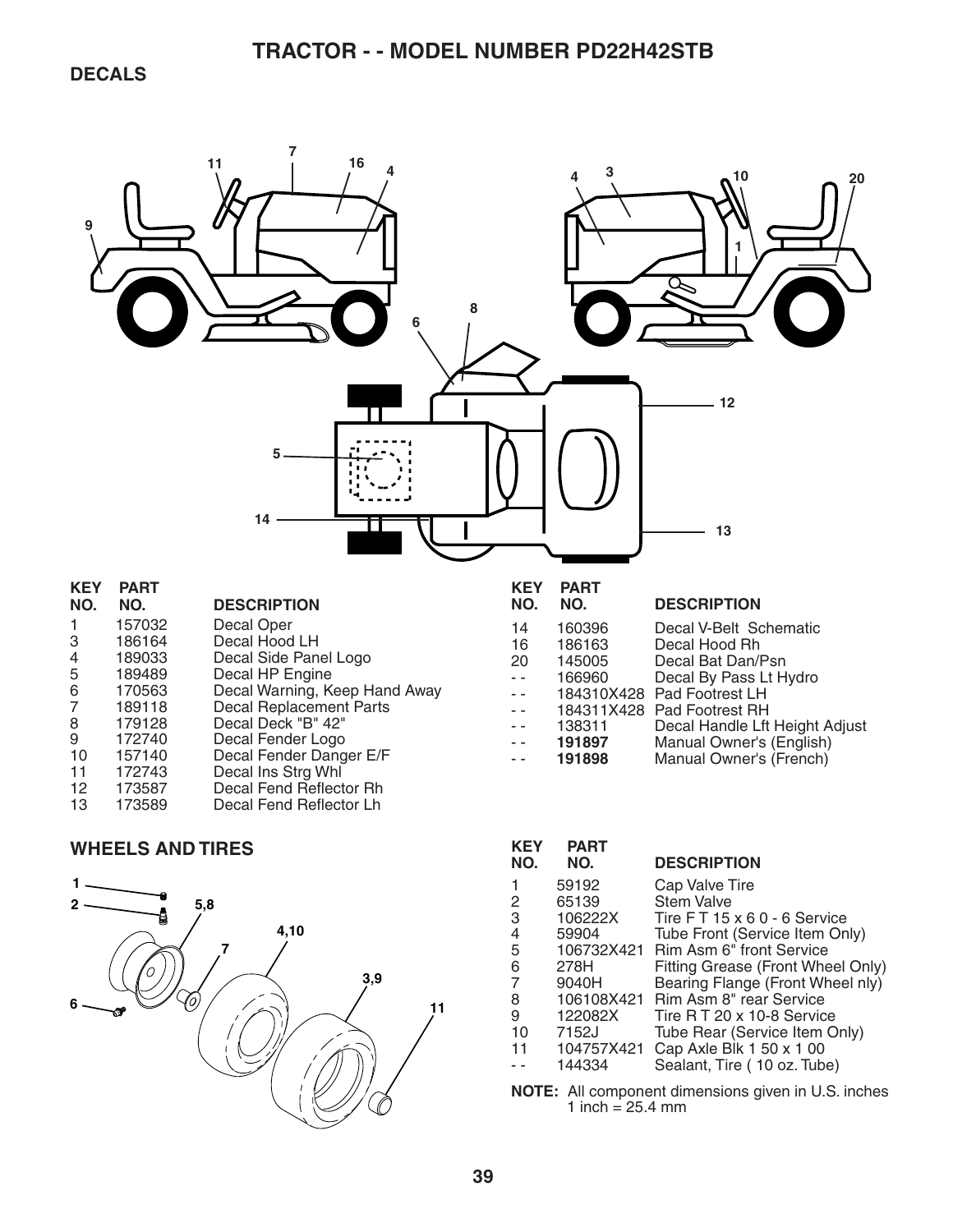

#### **WHEELS AND TIRES**



| <b>KEY</b><br>NO.                                                    | <b>PART</b><br>NO. | <b>DESCRIPTION</b>                |  |
|----------------------------------------------------------------------|--------------------|-----------------------------------|--|
| 1                                                                    | 59192              | Cap Valve Tire                    |  |
| 2                                                                    | 65139              | <b>Stem Valve</b>                 |  |
| 3                                                                    | 106222X            | Tire FT 15 x 6 0 - 6 Service      |  |
| 4                                                                    | 59904              | Tube Front (Service Item Only)    |  |
| 5                                                                    | 106732X421         | Rim Asm 6" front Service          |  |
| 6                                                                    | 278H               | Fitting Grease (Front Wheel Only) |  |
| 7                                                                    | 9040H              | Bearing Flange (Front Wheel nly)  |  |
| 8                                                                    | 106108X421         | <b>Rim Asm 8" rear Service</b>    |  |
| 9                                                                    | 122082X            | Tire R T 20 x 10-8 Service        |  |
| 10                                                                   | 7152J              | Tube Rear (Service Item Only)     |  |
| 11                                                                   | 104757X421         | Cap Axle Blk 1 50 x 1 00          |  |
|                                                                      | 144334             | Sealant, Tire (10 oz. Tube)       |  |
| $M$ $\Omega$ $\Gamma$ , All companent dimensione given in LLC inches |                    |                                   |  |

**NOTE:** All component dimensions given in U.S. inches 1 inch =  $25.4 \, \text{mm}$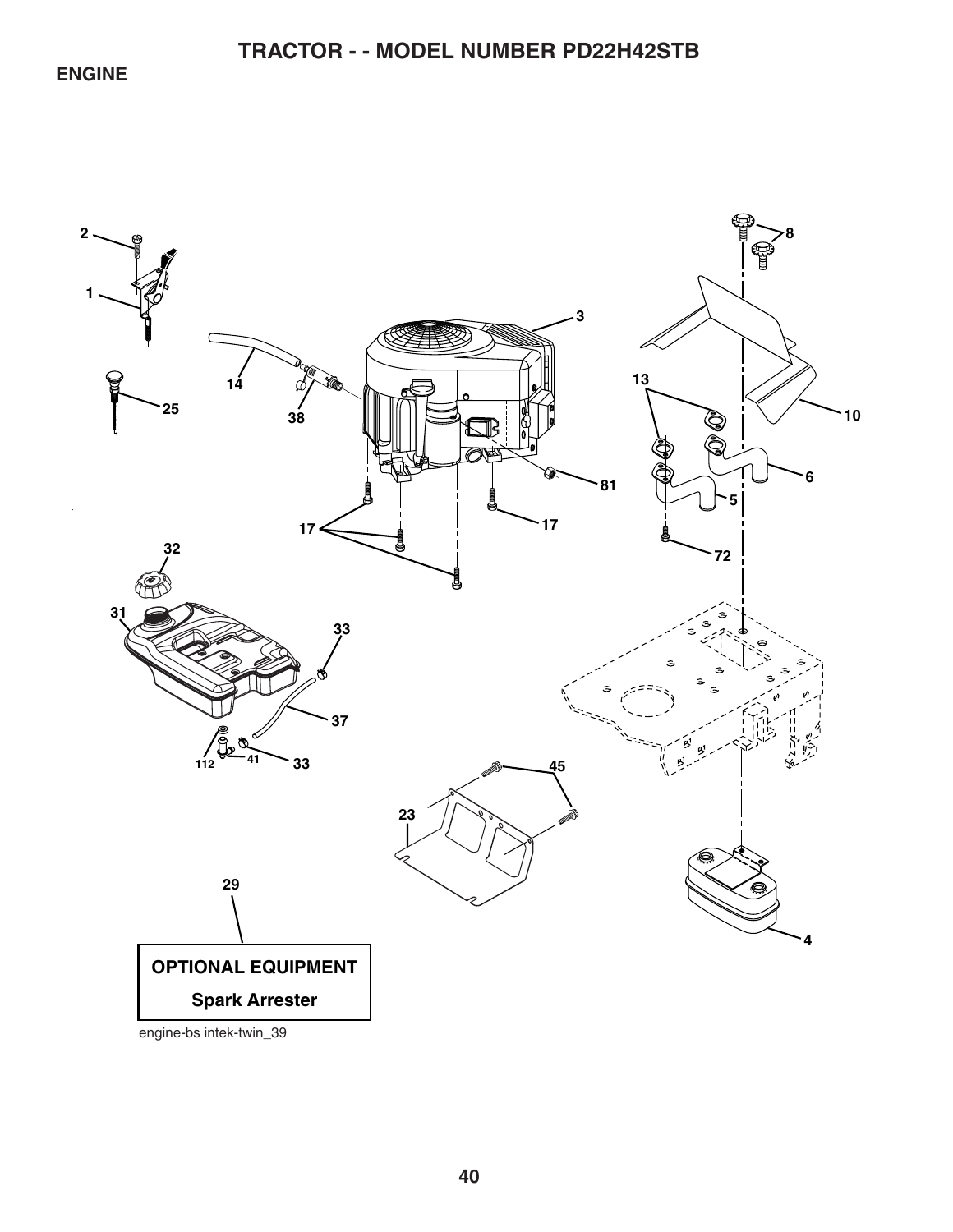## **ENGINE**

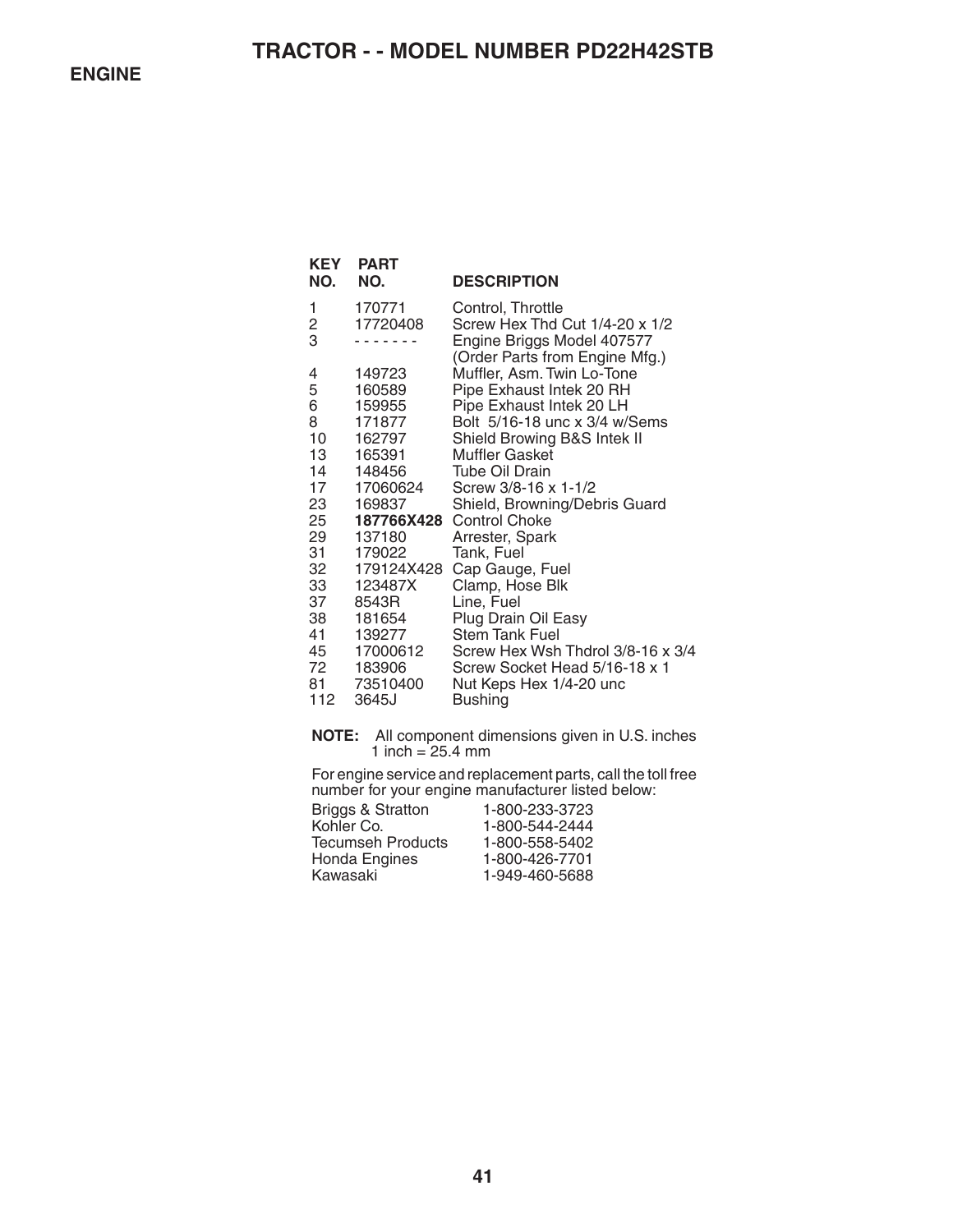| KEY<br>NO. | <b>PART</b><br>NO.    | <b>DESCRIPTION</b>                                           |
|------------|-----------------------|--------------------------------------------------------------|
| 1          | 170771                | Control, Throttle                                            |
| 2<br>3     | 17720408              | Screw Hex Thd Cut 1/4-20 x 1/2<br>Engine Briggs Model 407577 |
|            |                       | (Order Parts from Engine Mfg.)                               |
| 4          | 149723                | Muffler, Asm. Twin Lo-Tone                                   |
| 5          | 160589                | Pipe Exhaust Intek 20 RH                                     |
| 6          | 159955                | Pipe Exhaust Intek 20 LH                                     |
| 8          | 171877                | Bolt 5/16-18 unc x 3/4 w/Sems                                |
| 10<br>13   | 162797<br>165391      | Shield Browing B&S Intek II<br>Muffler Gasket                |
| 14         | 148456                | <b>Tube Oil Drain</b>                                        |
| 17         | 17060624              | Screw 3/8-16 x 1-1/2                                         |
| 23         | 169837                | Shield, Browning/Debris Guard                                |
| 25         |                       | 187766X428 Control Choke                                     |
| 29         | 137180                | Arrester, Spark                                              |
| 31         | 179022                | Tank, Fuel                                                   |
| 32<br>33   | 179124X428<br>123487X | Cap Gauge, Fuel<br>Clamp, Hose Blk                           |
| 37         | 8543R                 | Line, Fuel                                                   |
| 38         | 181654                | Plug Drain Oil Easy                                          |
| 41         | 139277                | <b>Stem Tank Fuel</b>                                        |
| 45         | 17000612              | Screw Hex Wsh Thdrol 3/8-16 x 3/4                            |
| 72         | 183906                | Screw Socket Head 5/16-18 x 1                                |
| 81<br>112  | 73510400<br>3645J     | Nut Keps Hex 1/4-20 unc<br><b>Bushing</b>                    |
|            |                       |                                                              |

**NOTE:** All component dimensions given in U.S. inches 1 inch =  $25.4 \text{ mm}$ 

For engine service and replacement parts, call the toll free number for your engine manufacturer listed below:

| 1-800-233-3723 |
|----------------|
| 1-800-544-2444 |
| 1-800-558-5402 |
| 1-800-426-7701 |
| 1-949-460-5688 |
|                |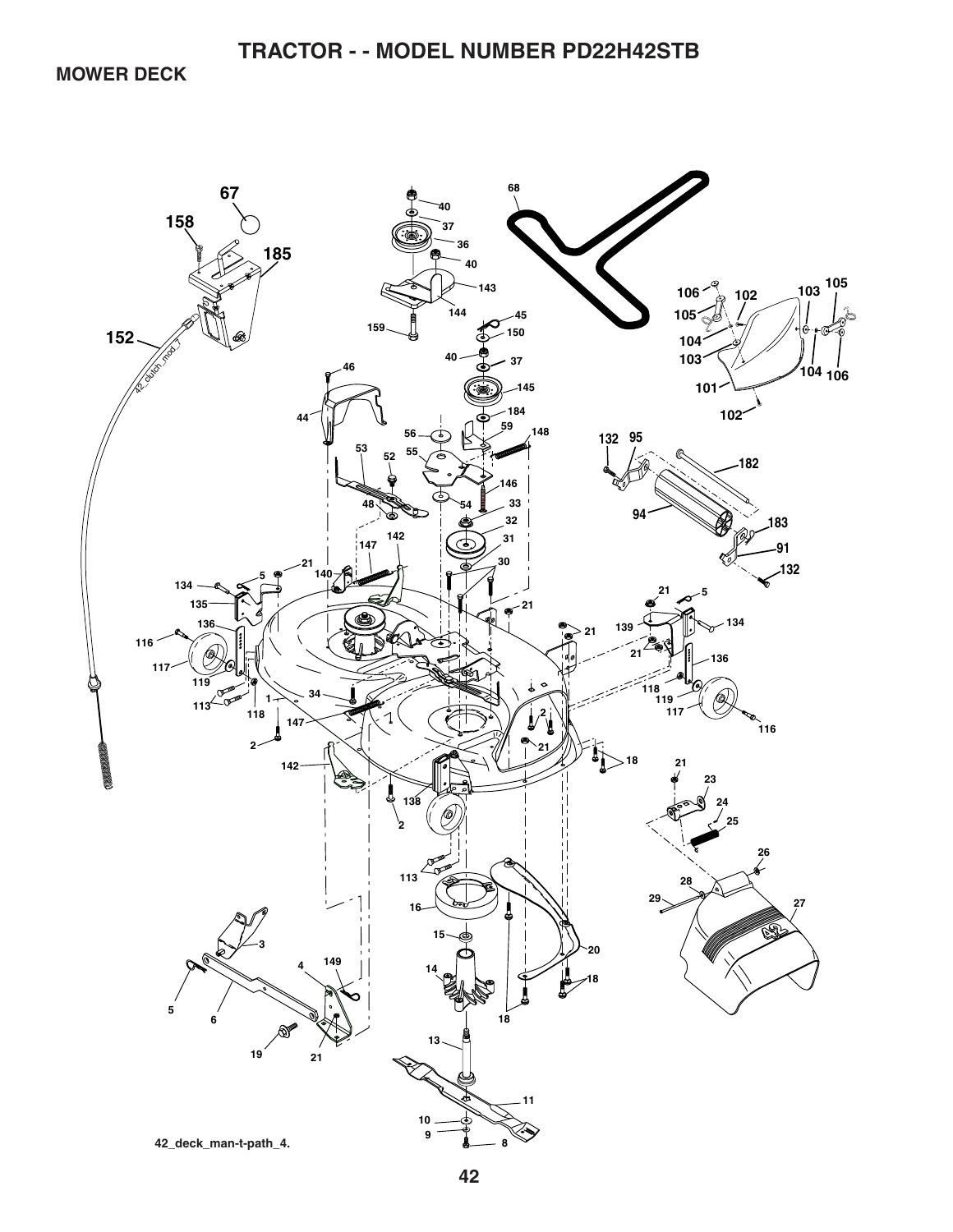**MOWER DECK** 

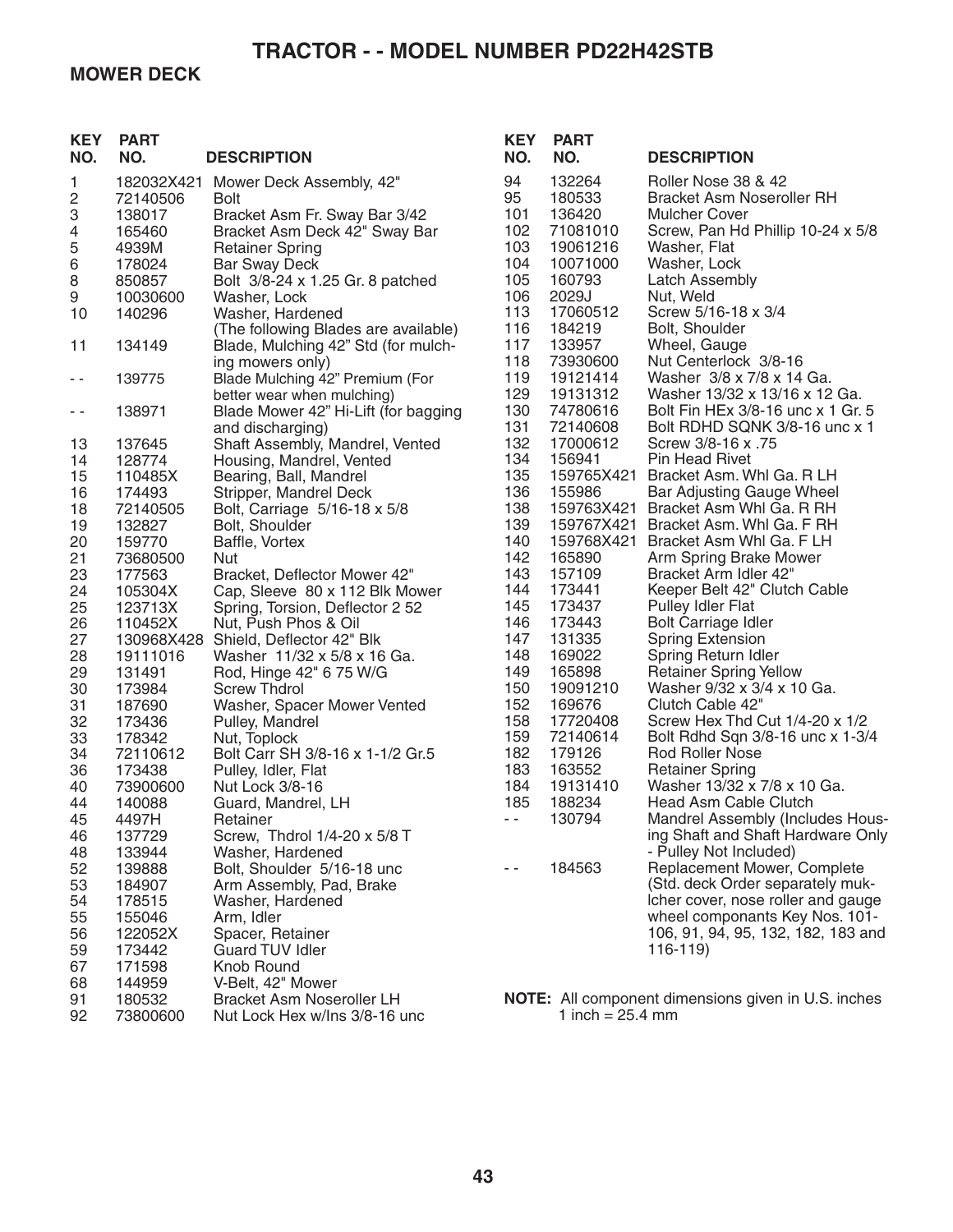### **MOWER DECK**

| <b>KEY</b><br>NO. | <b>PART</b><br>NO. | <b>DESCRIPTION</b>                                 | <b>KEY</b><br>NO. | <b>PART</b><br>NO.   | <b>DESCRIPTION</b>                                          |
|-------------------|--------------------|----------------------------------------------------|-------------------|----------------------|-------------------------------------------------------------|
| 1                 | 182032X421         | Mower Deck Assembly, 42"                           | 94                | 132264               | Roller Nose 38 & 42                                         |
| 2                 | 72140506           | <b>Bolt</b>                                        | 95                | 180533               | <b>Bracket Asm Noseroller RH</b>                            |
| 3                 | 138017             | Bracket Asm Fr. Sway Bar 3/42                      | 101               | 136420               | Mulcher Cover                                               |
| 4                 | 165460             | Bracket Asm Deck 42" Sway Bar                      | 102<br>103        | 71081010             | Screw, Pan Hd Phillip 10-24 x 5/8                           |
| 5<br>$\,6$        | 4939M              | <b>Retainer Spring</b>                             | 104               | 19061216<br>10071000 | Washer, Flat<br>Washer, Lock                                |
| 8                 | 178024<br>850857   | <b>Bar Sway Deck</b>                               | 105               | 160793               | <b>Latch Assembly</b>                                       |
| 9                 | 10030600           | Bolt 3/8-24 x 1.25 Gr. 8 patched<br>Washer, Lock   | 106               | 2029J                | Nut, Weld                                                   |
| 10                | 140296             | Washer, Hardened                                   | 113               | 17060512             | Screw 5/16-18 x 3/4                                         |
|                   |                    | (The following Blades are available)               | 116               | 184219               | Bolt, Shoulder                                              |
| 11                | 134149             | Blade, Mulching 42" Std (for mulch-                | 117               | 133957               | Wheel, Gauge                                                |
|                   |                    | ing mowers only)                                   | 118               | 73930600             | Nut Centerlock 3/8-16                                       |
| - -               | 139775             | Blade Mulching 42" Premium (For                    | 119               | 19121414             | Washer 3/8 x 7/8 x 14 Ga.                                   |
|                   |                    | better wear when mulching)                         | 129               | 19131312             | Washer 13/32 x 13/16 x 12 Ga.                               |
| - -               | 138971             | Blade Mower 42" Hi-Lift (for bagging               | 130               | 74780616             | Bolt Fin HEx 3/8-16 unc x 1 Gr. 5                           |
|                   |                    | and discharging)                                   | 131               | 72140608             | Bolt RDHD SQNK 3/8-16 unc x 1                               |
| 13                | 137645             | Shaft Assembly, Mandrel, Vented                    | 132               | 17000612             | Screw 3/8-16 x .75                                          |
| 14                | 128774             | Housing, Mandrel, Vented                           | 134               | 156941               | <b>Pin Head Rivet</b>                                       |
| 15                | 110485X            | Bearing, Ball, Mandrel                             | 135               | 159765X421           | Bracket Asm. Whi Ga. R LH                                   |
| 16                | 174493             | Stripper, Mandrel Deck                             | 136               | 155986               | Bar Adjusting Gauge Wheel                                   |
| 18                | 72140505           | Bolt, Carriage 5/16-18 x 5/8                       | 138               | 159763X421           | Bracket Asm Whl Ga. R RH                                    |
| 19                | 132827             | Bolt, Shoulder                                     | 139               |                      | 159767X421 Bracket Asm. Whl Ga. F RH                        |
| 20                | 159770             | Baffle, Vortex                                     | 140               | 159768X421           | Bracket Asm Whl Ga. F LH                                    |
| 21                | 73680500           | <b>Nut</b>                                         | 142               | 165890               | Arm Spring Brake Mower                                      |
| 23                | 177563             | Bracket, Deflector Mower 42"                       | 143               | 157109               | Bracket Arm Idler 42"                                       |
| 24                | 105304X            | Cap, Sleeve 80 x 112 Blk Mower                     | 144               | 173441               | Keeper Belt 42" Clutch Cable                                |
| 25                | 123713X            | Spring, Torsion, Deflector 2 52                    | 145               | 173437               | <b>Pulley Idler Flat</b>                                    |
| 26                | 110452X            | Nut, Push Phos & Oil                               | 146               | 173443               | <b>Bolt Carriage Idler</b>                                  |
| 27                | 130968X428         | Shield, Deflector 42" Blk                          | 147               | 131335               | <b>Spring Extension</b>                                     |
| 28                | 19111016           | Washer 11/32 x 5/8 x 16 Ga.                        | 148<br>149        | 169022<br>165898     | Spring Return Idler                                         |
| 29                | 131491             | Rod, Hinge 42" 6 75 W/G                            | 150               | 19091210             | <b>Retainer Spring Yellow</b><br>Washer 9/32 x 3/4 x 10 Ga. |
| 30<br>31          | 173984<br>187690   | <b>Screw Thdrol</b><br>Washer, Spacer Mower Vented | 152               | 169676               | Clutch Cable 42"                                            |
| 32                | 173436             | Pulley, Mandrel                                    | 158               | 17720408             | Screw Hex Thd Cut 1/4-20 x 1/2                              |
| 33                | 178342             | Nut, Toplock                                       | 159               | 72140614             | Bolt Rdhd Sqn 3/8-16 unc x 1-3/4                            |
| 34                | 72110612           | Bolt Carr SH 3/8-16 x 1-1/2 Gr.5                   | 182               | 179126               | <b>Rod Roller Nose</b>                                      |
| 36                | 173438             | Pulley, Idler, Flat                                | 183               | 163552               | <b>Retainer Spring</b>                                      |
| 40                | 73900600           | Nut Lock 3/8-16                                    | 184               | 19131410             | Washer 13/32 x 7/8 x 10 Ga.                                 |
| 44                | 140088             | Guard, Mandrel, LH                                 | 185               | 188234               | Head Asm Cable Clutch                                       |
| 45                | 4497H              | Retainer                                           | $\sim$ $-$        | 130794               | Mandrel Assembly (Includes Hous-                            |
| 46                | 137729             | Screw, Thdrol 1/4-20 x 5/8 T                       |                   |                      | ing Shaft and Shaft Hardware Only                           |
| 48                | 133944             | Washer, Hardened                                   |                   |                      | - Pulley Not Included)                                      |
| 52                | 139888             | Bolt, Shoulder 5/16-18 unc                         | - -               | 184563               | Replacement Mower, Complete                                 |
| 53                | 184907             | Arm Assembly, Pad, Brake                           |                   |                      | (Std. deck Order separately muk-                            |
| 54                | 178515             | Washer, Hardened                                   |                   |                      | Icher cover, nose roller and gauge                          |
| 55                | 155046             | Arm, Idler                                         |                   |                      | wheel componants Key Nos. 101-                              |
| 56                | 122052X            | Spacer, Retainer                                   |                   |                      | 106, 91, 94, 95, 132, 182, 183 and                          |
| 59                | 173442             | Guard TUV Idler                                    |                   |                      | 116-119)                                                    |
| 67                | 171598             | Knob Round                                         |                   |                      |                                                             |
| 68                | 144959             | V-Belt, 42" Mower                                  |                   |                      |                                                             |
| 91                | 180532             | <b>Bracket Asm Noseroller LH</b>                   |                   |                      | NOTE: All component dimensions given in U.S. inches         |
| 92                | 73800600           | Nut Lock Hex w/Ins 3/8-16 unc                      |                   | 1 inch = $25.4$ mm   |                                                             |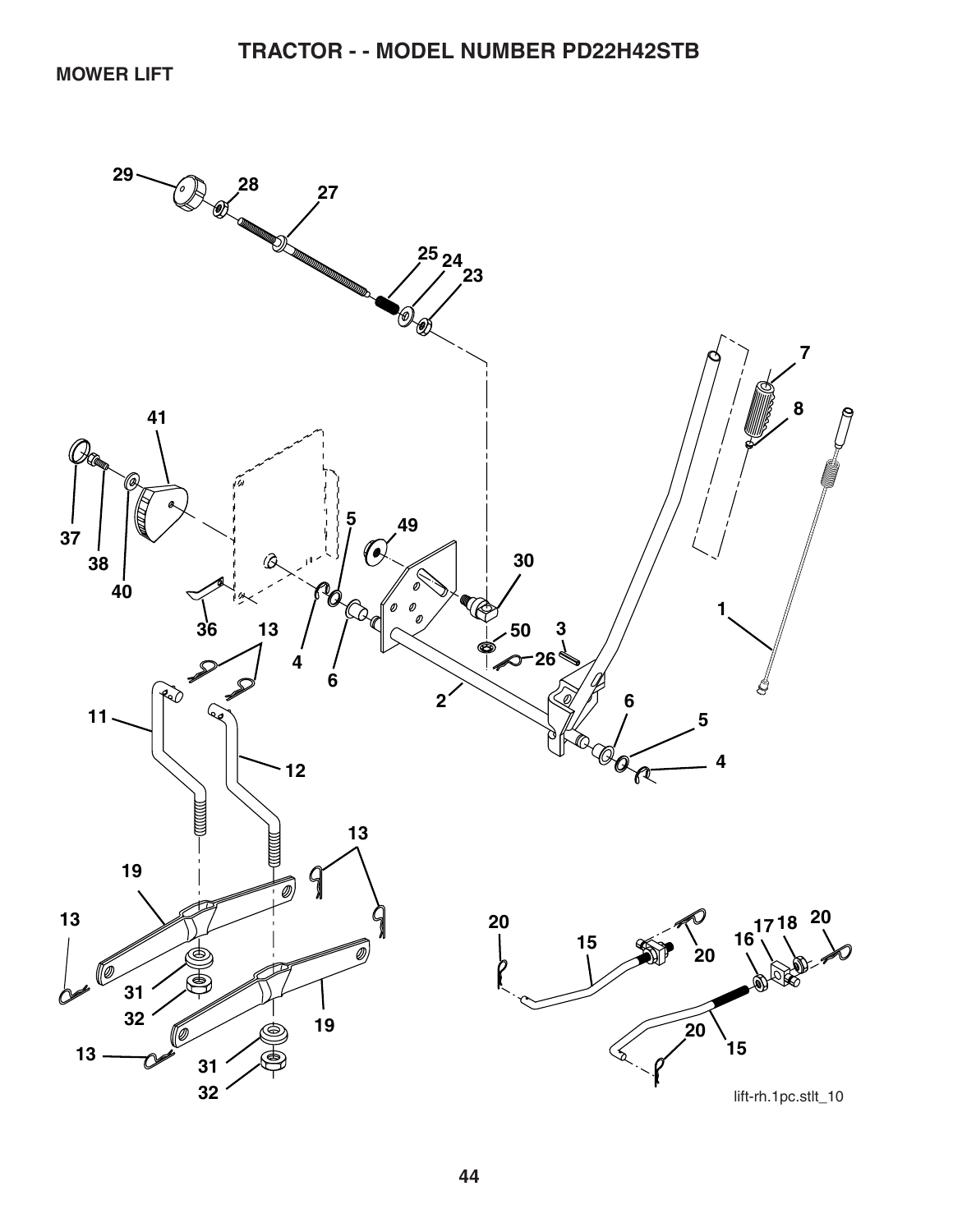